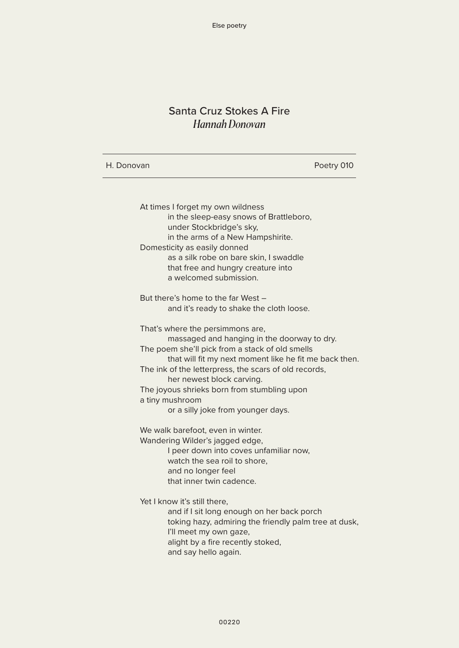# Santa Cruz Stokes A Fire *Hannah Donovan*

| H. Donovan                                                                                                                                                                                                                 | Poetry 010 |
|----------------------------------------------------------------------------------------------------------------------------------------------------------------------------------------------------------------------------|------------|
| At times I forget my own wildness<br>in the sleep-easy snows of Brattleboro,<br>under Stockbridge's sky,<br>in the arms of a New Hampshirite.<br>Domesticity as easily donned                                              |            |
| as a silk robe on bare skin, I swaddle<br>that free and hungry creature into<br>a welcomed submission.                                                                                                                     |            |
| But there's home to the far West -<br>and it's ready to shake the cloth loose.                                                                                                                                             |            |
| That's where the persimmons are,<br>massaged and hanging in the doorway to dry.<br>The poem she'll pick from a stack of old smells<br>that will fit my next moment like he fit me back then.                               |            |
| The ink of the letterpress, the scars of old records,<br>her newest block carving.<br>The joyous shrieks born from stumbling upon<br>a tiny mushroom<br>or a silly joke from younger days.                                 |            |
| We walk barefoot, even in winter.<br>Wandering Wilder's jagged edge,<br>I peer down into coves unfamiliar now,<br>watch the sea roil to shore,<br>and no longer feel<br>that inner twin cadence.                           |            |
| Yet I know it's still there,<br>and if I sit long enough on her back porch<br>toking hazy, admiring the friendly palm tree at dusk,<br>I'll meet my own gaze,<br>alight by a fire recently stoked,<br>and say hello again. |            |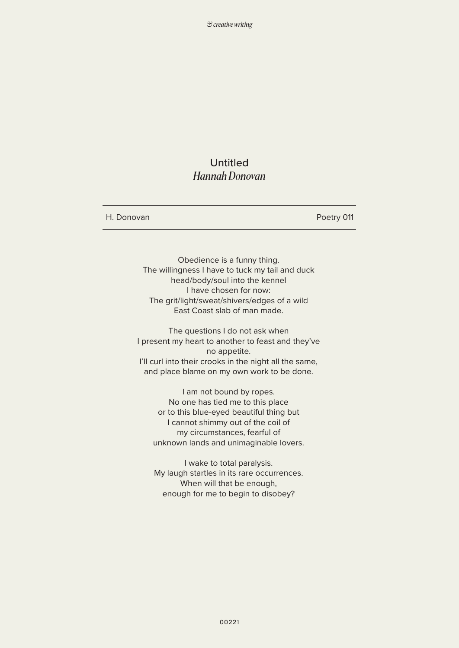## Untitled *Hannah Donovan*

H. Donovan

Poetry 011

Obedience is a funny thing. The willingness I have to tuck my tail and duck head/body/soul into the kennel I have chosen for now: The grit/light/sweat/shivers/edges of a wild East Coast slab of man made.

The questions I do not ask when I present my heart to another to feast and they've no appetite. I'll curl into their crooks in the night all the same, and place blame on my own work to be done.

I am not bound by ropes. No one has tied me to this place or to this blue-eyed beautiful thing but I cannot shimmy out of the coil of my circumstances, fearful of unknown lands and unimaginable lovers.

I wake to total paralysis. My laugh startles in its rare occurrences. When will that be enough, enough for me to begin to disobey?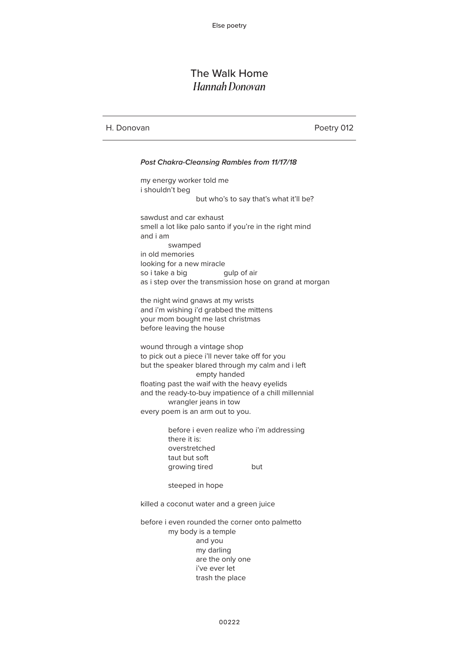## The Walk Home *Hannah Donovan*

H. Donovan

Poetry 012

#### *Post Chakra-Cleansing Rambles from 11/17/18* my energy worker told me i shouldn't beg but who's to say that's what it'll be? sawdust and car exhaust smell a lot like palo santo if you're in the right mind and i am swamped in old memories looking for a new miracle so i take a big as i step over the transmission hose on grand at morgan the night wind gnaws at my wrists and i'm wishing i'd grabbed the mittens your mom bought me last christmas before leaving the house wound through a vintage shop to pick out a piece i'll never take off for you but the speaker blared through my calm and i left empty handed floating past the waif with the heavy eyelids and the ready-to-buy impatience of a chill millennial wrangler jeans in tow every poem is an arm out to you. before i even realize who i'm addressing there it is: overstretched taut but soft growing tired but steeped in hope killed a coconut water and a green juice before i even rounded the corner onto palmetto my body is a temple and you my darling are the only one i've ever let trash the place